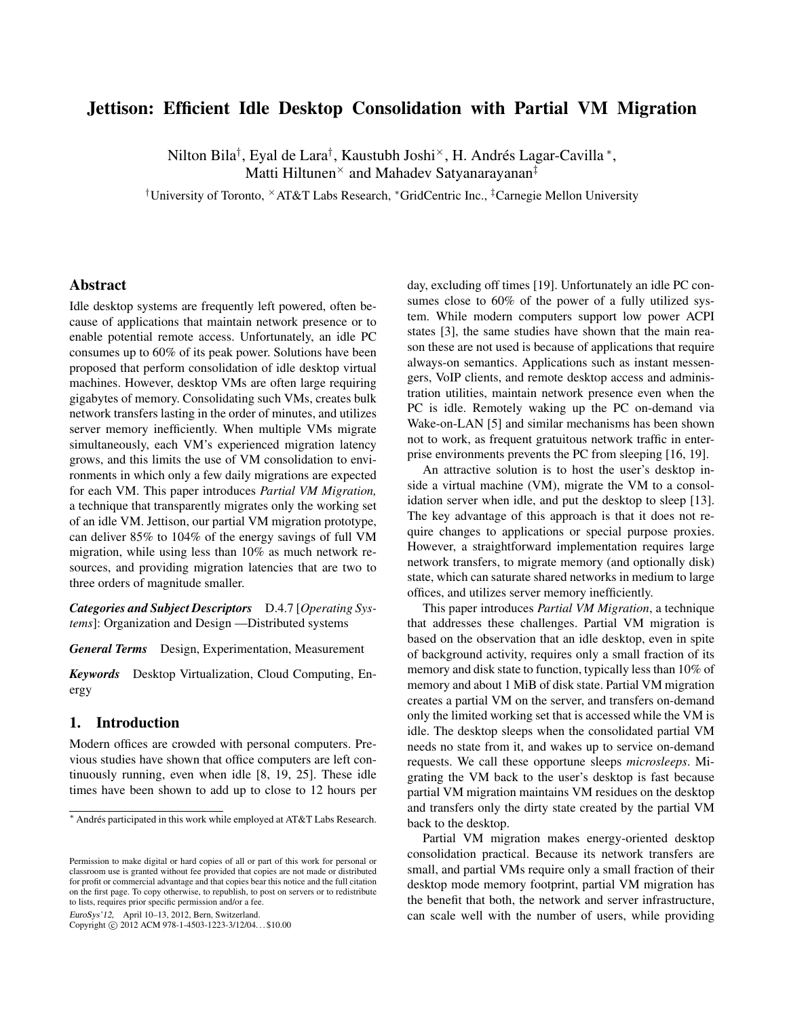# Jettison: Efficient Idle Desktop Consolidation with Partial VM Migration

Nilton Bila<sup>†</sup>, Eyal de Lara<sup>†</sup>, Kaustubh Joshi<sup>×</sup>, H. Andrés Lagar-Cavilla \*, Matti Hiltunen $\times$  and Mahadev Satyanarayanan<sup>‡</sup>

†University of Toronto, <sup>×</sup>AT&T Labs Research, <sup>∗</sup>GridCentric Inc., ‡Carnegie Mellon University

## Abstract

Idle desktop systems are frequently left powered, often because of applications that maintain network presence or to enable potential remote access. Unfortunately, an idle PC consumes up to 60% of its peak power. Solutions have been proposed that perform consolidation of idle desktop virtual machines. However, desktop VMs are often large requiring gigabytes of memory. Consolidating such VMs, creates bulk network transfers lasting in the order of minutes, and utilizes server memory inefficiently. When multiple VMs migrate simultaneously, each VM's experienced migration latency grows, and this limits the use of VM consolidation to environments in which only a few daily migrations are expected for each VM. This paper introduces *Partial VM Migration,* a technique that transparently migrates only the working set of an idle VM. Jettison, our partial VM migration prototype, can deliver 85% to 104% of the energy savings of full VM migration, while using less than 10% as much network resources, and providing migration latencies that are two to three orders of magnitude smaller.

*Categories and Subject Descriptors* D.4.7 [*Operating Systems*]: Organization and Design —Distributed systems

*General Terms* Design, Experimentation, Measurement

*Keywords* Desktop Virtualization, Cloud Computing, Energy

## 1. Introduction

Modern offices are crowded with personal computers. Previous studies have shown that office computers are left continuously running, even when idle [8, 19, 25]. These idle times have been shown to add up to close to 12 hours per

EuroSys'12, April 10–13, 2012, Bern, Switzerland.

Copyright © 2012 ACM 978-1-4503-1223-3/12/04... \$10.00

day, excluding off times [19]. Unfortunately an idle PC consumes close to 60% of the power of a fully utilized system. While modern computers support low power ACPI states [3], the same studies have shown that the main reason these are not used is because of applications that require always-on semantics. Applications such as instant messengers, VoIP clients, and remote desktop access and administration utilities, maintain network presence even when the PC is idle. Remotely waking up the PC on-demand via Wake-on-LAN [5] and similar mechanisms has been shown not to work, as frequent gratuitous network traffic in enterprise environments prevents the PC from sleeping [16, 19].

An attractive solution is to host the user's desktop inside a virtual machine (VM), migrate the VM to a consolidation server when idle, and put the desktop to sleep [13]. The key advantage of this approach is that it does not require changes to applications or special purpose proxies. However, a straightforward implementation requires large network transfers, to migrate memory (and optionally disk) state, which can saturate shared networks in medium to large offices, and utilizes server memory inefficiently.

This paper introduces *Partial VM Migration*, a technique that addresses these challenges. Partial VM migration is based on the observation that an idle desktop, even in spite of background activity, requires only a small fraction of its memory and disk state to function, typically less than 10% of memory and about 1 MiB of disk state. Partial VM migration creates a partial VM on the server, and transfers on-demand only the limited working set that is accessed while the VM is idle. The desktop sleeps when the consolidated partial VM needs no state from it, and wakes up to service on-demand requests. We call these opportune sleeps *microsleeps*. Migrating the VM back to the user's desktop is fast because partial VM migration maintains VM residues on the desktop and transfers only the dirty state created by the partial VM back to the desktop.

Partial VM migration makes energy-oriented desktop consolidation practical. Because its network transfers are small, and partial VMs require only a small fraction of their desktop mode memory footprint, partial VM migration has the benefit that both, the network and server infrastructure, can scale well with the number of users, while providing

<sup>∗</sup> Andres participated in this work while employed at AT&T Labs Research. ´

Permission to make digital or hard copies of all or part of this work for personal or classroom use is granted without fee provided that copies are not made or distributed for profit or commercial advantage and that copies bear this notice and the full citation on the first page. To copy otherwise, to republish, to post on servers or to redistribute to lists, requires prior specific permission and/or a fee.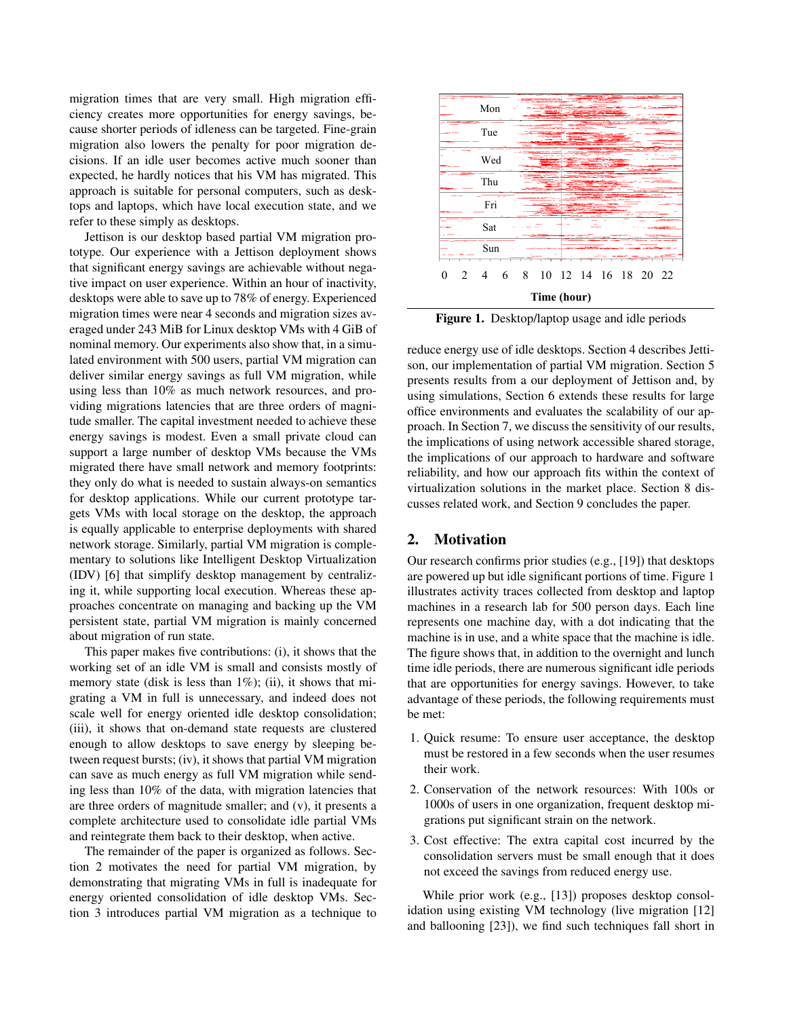migration times that are very small. High migration efficiency creates more opportunities for energy savings, because shorter periods of idleness can be targeted. Fine-grain migration also lowers the penalty for poor migration decisions. If an idle user becomes active much sooner than expected, he hardly notices that his VM has migrated. This approach is suitable for personal computers, such as desktops and laptops, which have local execution state, and we refer to these simply as desktops.

Jettison is our desktop based partial VM migration prototype. Our experience with a Jettison deployment shows that significant energy savings are achievable without negative impact on user experience. Within an hour of inactivity, desktops were able to save up to 78% of energy. Experienced migration times were near 4 seconds and migration sizes averaged under 243 MiB for Linux desktop VMs with 4 GiB of nominal memory. Our experiments also show that, in a simulated environment with 500 users, partial VM migration can deliver similar energy savings as full VM migration, while using less than 10% as much network resources, and providing migrations latencies that are three orders of magnitude smaller. The capital investment needed to achieve these energy savings is modest. Even a small private cloud can support a large number of desktop VMs because the VMs migrated there have small network and memory footprints: they only do what is needed to sustain always-on semantics for desktop applications. While our current prototype targets VMs with local storage on the desktop, the approach is equally applicable to enterprise deployments with shared network storage. Similarly, partial VM migration is complementary to solutions like Intelligent Desktop Virtualization (IDV) [6] that simplify desktop management by centralizing it, while supporting local execution. Whereas these approaches concentrate on managing and backing up the VM persistent state, partial VM migration is mainly concerned about migration of run state.

This paper makes five contributions: (i), it shows that the working set of an idle VM is small and consists mostly of memory state (disk is less than  $1\%$ ); (ii), it shows that migrating a VM in full is unnecessary, and indeed does not scale well for energy oriented idle desktop consolidation; (iii), it shows that on-demand state requests are clustered enough to allow desktops to save energy by sleeping between request bursts; (iv), it shows that partial VM migration can save as much energy as full VM migration while sending less than 10% of the data, with migration latencies that are three orders of magnitude smaller; and (v), it presents a complete architecture used to consolidate idle partial VMs and reintegrate them back to their desktop, when active.

The remainder of the paper is organized as follows. Section 2 motivates the need for partial VM migration, by demonstrating that migrating VMs in full is inadequate for energy oriented consolidation of idle desktop VMs. Section 3 introduces partial VM migration as a technique to



Figure 1. Desktop/laptop usage and idle periods

reduce energy use of idle desktops. Section 4 describes Jettison, our implementation of partial VM migration. Section 5 presents results from a our deployment of Jettison and, by using simulations, Section 6 extends these results for large office environments and evaluates the scalability of our approach. In Section 7, we discuss the sensitivity of our results, the implications of using network accessible shared storage, the implications of our approach to hardware and software reliability, and how our approach fits within the context of virtualization solutions in the market place. Section 8 discusses related work, and Section 9 concludes the paper.

## 2. Motivation

Our research confirms prior studies (e.g., [19]) that desktops are powered up but idle significant portions of time. Figure 1 illustrates activity traces collected from desktop and laptop machines in a research lab for 500 person days. Each line represents one machine day, with a dot indicating that the machine is in use, and a white space that the machine is idle. The figure shows that, in addition to the overnight and lunch time idle periods, there are numerous significant idle periods that are opportunities for energy savings. However, to take advantage of these periods, the following requirements must be met:

- 1. Quick resume: To ensure user acceptance, the desktop must be restored in a few seconds when the user resumes their work.
- 2. Conservation of the network resources: With 100s or 1000s of users in one organization, frequent desktop migrations put significant strain on the network.
- 3. Cost effective: The extra capital cost incurred by the consolidation servers must be small enough that it does not exceed the savings from reduced energy use.

While prior work (e.g., [13]) proposes desktop consolidation using existing VM technology (live migration [12] and ballooning [23]), we find such techniques fall short in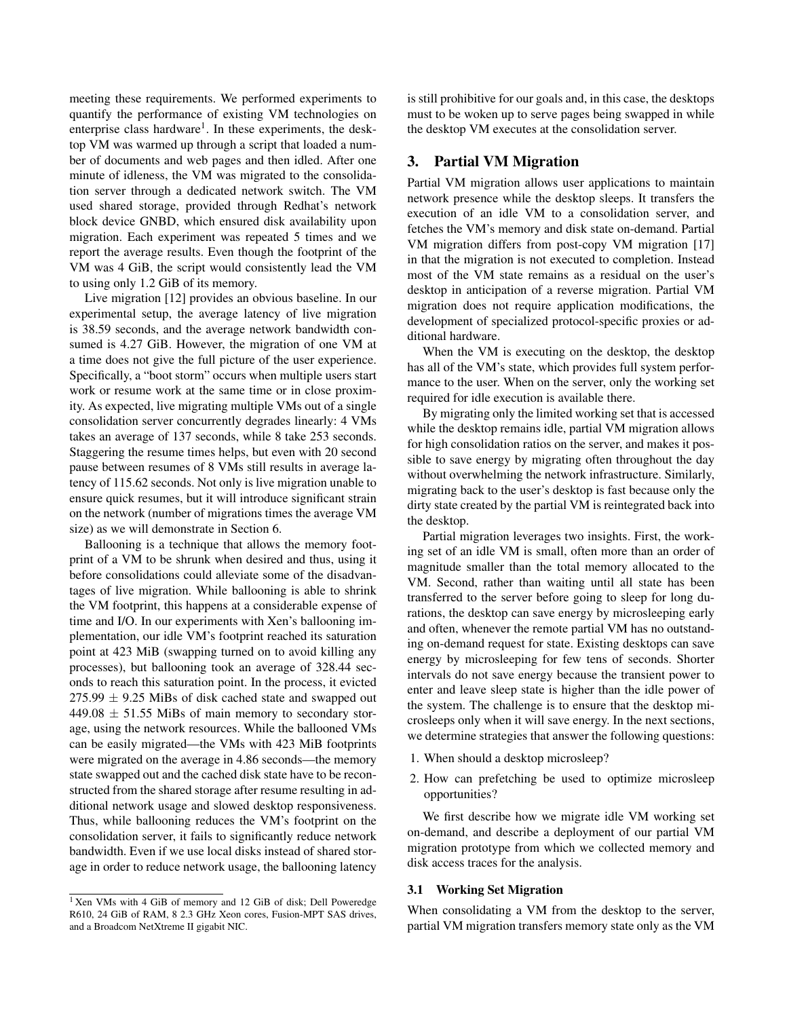meeting these requirements. We performed experiments to quantify the performance of existing VM technologies on enterprise class hardware<sup>1</sup>. In these experiments, the desktop VM was warmed up through a script that loaded a number of documents and web pages and then idled. After one minute of idleness, the VM was migrated to the consolidation server through a dedicated network switch. The VM used shared storage, provided through Redhat's network block device GNBD, which ensured disk availability upon migration. Each experiment was repeated 5 times and we report the average results. Even though the footprint of the VM was 4 GiB, the script would consistently lead the VM to using only 1.2 GiB of its memory.

Live migration [12] provides an obvious baseline. In our experimental setup, the average latency of live migration is 38.59 seconds, and the average network bandwidth consumed is 4.27 GiB. However, the migration of one VM at a time does not give the full picture of the user experience. Specifically, a "boot storm" occurs when multiple users start work or resume work at the same time or in close proximity. As expected, live migrating multiple VMs out of a single consolidation server concurrently degrades linearly: 4 VMs takes an average of 137 seconds, while 8 take 253 seconds. Staggering the resume times helps, but even with 20 second pause between resumes of 8 VMs still results in average latency of 115.62 seconds. Not only is live migration unable to ensure quick resumes, but it will introduce significant strain on the network (number of migrations times the average VM size) as we will demonstrate in Section 6.

Ballooning is a technique that allows the memory footprint of a VM to be shrunk when desired and thus, using it before consolidations could alleviate some of the disadvantages of live migration. While ballooning is able to shrink the VM footprint, this happens at a considerable expense of time and I/O. In our experiments with Xen's ballooning implementation, our idle VM's footprint reached its saturation point at 423 MiB (swapping turned on to avoid killing any processes), but ballooning took an average of 328.44 seconds to reach this saturation point. In the process, it evicted  $275.99 \pm 9.25$  MiBs of disk cached state and swapped out  $449.08 \pm 51.55$  MiBs of main memory to secondary storage, using the network resources. While the ballooned VMs can be easily migrated—the VMs with 423 MiB footprints were migrated on the average in 4.86 seconds—the memory state swapped out and the cached disk state have to be reconstructed from the shared storage after resume resulting in additional network usage and slowed desktop responsiveness. Thus, while ballooning reduces the VM's footprint on the consolidation server, it fails to significantly reduce network bandwidth. Even if we use local disks instead of shared storage in order to reduce network usage, the ballooning latency

<sup>1</sup> Xen VMs with 4 GiB of memory and 12 GiB of disk; Dell Poweredge R610, 24 GiB of RAM, 8 2.3 GHz Xeon cores, Fusion-MPT SAS drives, and a Broadcom NetXtreme II gigabit NIC.

is still prohibitive for our goals and, in this case, the desktops must to be woken up to serve pages being swapped in while the desktop VM executes at the consolidation server.

## 3. Partial VM Migration

Partial VM migration allows user applications to maintain network presence while the desktop sleeps. It transfers the execution of an idle VM to a consolidation server, and fetches the VM's memory and disk state on-demand. Partial VM migration differs from post-copy VM migration [17] in that the migration is not executed to completion. Instead most of the VM state remains as a residual on the user's desktop in anticipation of a reverse migration. Partial VM migration does not require application modifications, the development of specialized protocol-specific proxies or additional hardware.

When the VM is executing on the desktop, the desktop has all of the VM's state, which provides full system performance to the user. When on the server, only the working set required for idle execution is available there.

By migrating only the limited working set that is accessed while the desktop remains idle, partial VM migration allows for high consolidation ratios on the server, and makes it possible to save energy by migrating often throughout the day without overwhelming the network infrastructure. Similarly, migrating back to the user's desktop is fast because only the dirty state created by the partial VM is reintegrated back into the desktop.

Partial migration leverages two insights. First, the working set of an idle VM is small, often more than an order of magnitude smaller than the total memory allocated to the VM. Second, rather than waiting until all state has been transferred to the server before going to sleep for long durations, the desktop can save energy by microsleeping early and often, whenever the remote partial VM has no outstanding on-demand request for state. Existing desktops can save energy by microsleeping for few tens of seconds. Shorter intervals do not save energy because the transient power to enter and leave sleep state is higher than the idle power of the system. The challenge is to ensure that the desktop microsleeps only when it will save energy. In the next sections, we determine strategies that answer the following questions:

- 1. When should a desktop microsleep?
- 2. How can prefetching be used to optimize microsleep opportunities?

We first describe how we migrate idle VM working set on-demand, and describe a deployment of our partial VM migration prototype from which we collected memory and disk access traces for the analysis.

## 3.1 Working Set Migration

When consolidating a VM from the desktop to the server, partial VM migration transfers memory state only as the VM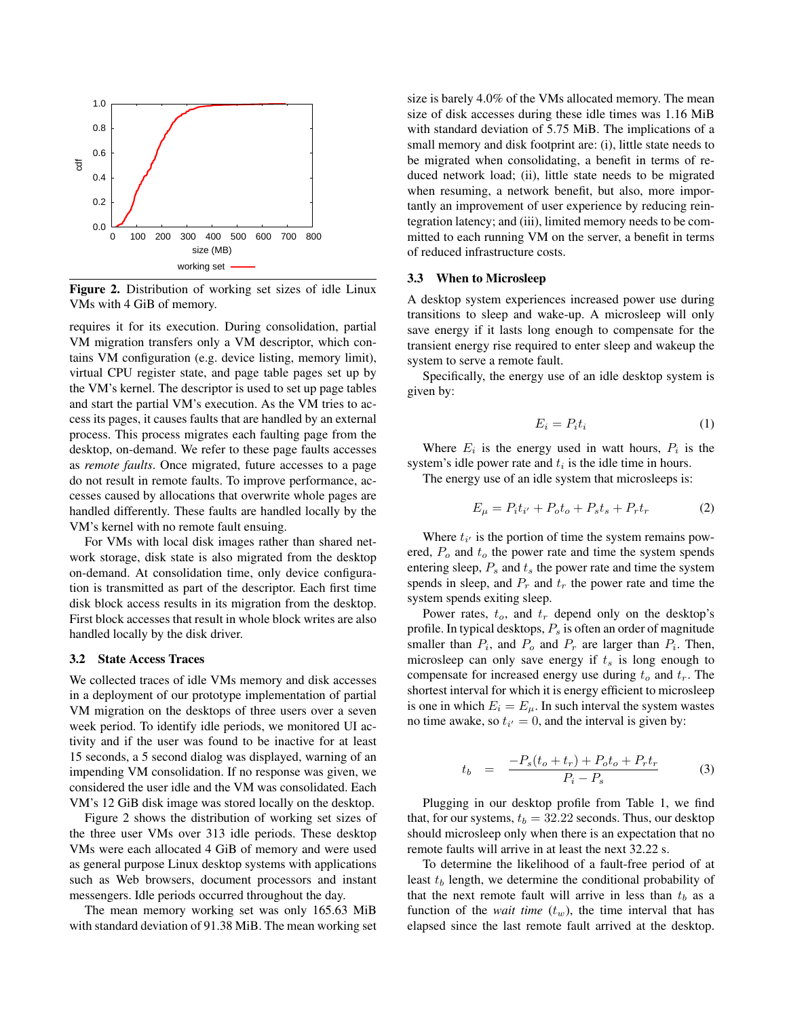

Figure 2. Distribution of working set sizes of idle Linux VMs with 4 GiB of memory.

requires it for its execution. During consolidation, partial VM migration transfers only a VM descriptor, which contains VM configuration (e.g. device listing, memory limit), virtual CPU register state, and page table pages set up by the VM's kernel. The descriptor is used to set up page tables and start the partial VM's execution. As the VM tries to access its pages, it causes faults that are handled by an external process. This process migrates each faulting page from the desktop, on-demand. We refer to these page faults accesses as *remote faults*. Once migrated, future accesses to a page do not result in remote faults. To improve performance, accesses caused by allocations that overwrite whole pages are handled differently. These faults are handled locally by the VM's kernel with no remote fault ensuing.

For VMs with local disk images rather than shared network storage, disk state is also migrated from the desktop on-demand. At consolidation time, only device configuration is transmitted as part of the descriptor. Each first time disk block access results in its migration from the desktop. First block accesses that result in whole block writes are also handled locally by the disk driver.

### 3.2 State Access Traces

We collected traces of idle VMs memory and disk accesses in a deployment of our prototype implementation of partial VM migration on the desktops of three users over a seven week period. To identify idle periods, we monitored UI activity and if the user was found to be inactive for at least 15 seconds, a 5 second dialog was displayed, warning of an impending VM consolidation. If no response was given, we considered the user idle and the VM was consolidated. Each VM's 12 GiB disk image was stored locally on the desktop.

Figure 2 shows the distribution of working set sizes of the three user VMs over 313 idle periods. These desktop VMs were each allocated 4 GiB of memory and were used as general purpose Linux desktop systems with applications such as Web browsers, document processors and instant messengers. Idle periods occurred throughout the day.

The mean memory working set was only 165.63 MiB with standard deviation of 91.38 MiB. The mean working set size is barely 4.0% of the VMs allocated memory. The mean size of disk accesses during these idle times was 1.16 MiB with standard deviation of 5.75 MiB. The implications of a small memory and disk footprint are: (i), little state needs to be migrated when consolidating, a benefit in terms of reduced network load; (ii), little state needs to be migrated when resuming, a network benefit, but also, more importantly an improvement of user experience by reducing reintegration latency; and (iii), limited memory needs to be committed to each running VM on the server, a benefit in terms of reduced infrastructure costs.

#### 3.3 When to Microsleep

A desktop system experiences increased power use during transitions to sleep and wake-up. A microsleep will only save energy if it lasts long enough to compensate for the transient energy rise required to enter sleep and wakeup the system to serve a remote fault.

Specifically, the energy use of an idle desktop system is given by:

$$
E_i = P_i t_i \tag{1}
$$

Where  $E_i$  is the energy used in watt hours,  $P_i$  is the system's idle power rate and  $t_i$  is the idle time in hours.

The energy use of an idle system that microsleeps is:

$$
E_{\mu} = P_i t_{i'} + P_o t_o + P_s t_s + P_r t_r \tag{2}
$$

Where  $t_{i'}$  is the portion of time the system remains powered,  $P<sub>o</sub>$  and  $t<sub>o</sub>$  the power rate and time the system spends entering sleep,  $P_s$  and  $t_s$  the power rate and time the system spends in sleep, and  $P_r$  and  $t_r$  the power rate and time the system spends exiting sleep.

Power rates,  $t_o$ , and  $t_r$  depend only on the desktop's profile. In typical desktops,  $P_s$  is often an order of magnitude smaller than  $P_i$ , and  $P_o$  and  $P_r$  are larger than  $P_i$ . Then, microsleep can only save energy if  $t_s$  is long enough to compensate for increased energy use during  $t_o$  and  $t_r$ . The shortest interval for which it is energy efficient to microsleep is one in which  $E_i = E_\mu$ . In such interval the system wastes no time awake, so  $t_{i'} = 0$ , and the interval is given by:

$$
t_b = \frac{-P_s(t_o + t_r) + P_o t_o + P_r t_r}{P_i - P_s} \tag{3}
$$

Plugging in our desktop profile from Table 1, we find that, for our systems,  $t_b = 32.22$  seconds. Thus, our desktop should microsleep only when there is an expectation that no remote faults will arrive in at least the next 32.22 s.

To determine the likelihood of a fault-free period of at least  $t_b$  length, we determine the conditional probability of that the next remote fault will arrive in less than  $t_b$  as a function of the *wait time*  $(t_w)$ , the time interval that has elapsed since the last remote fault arrived at the desktop.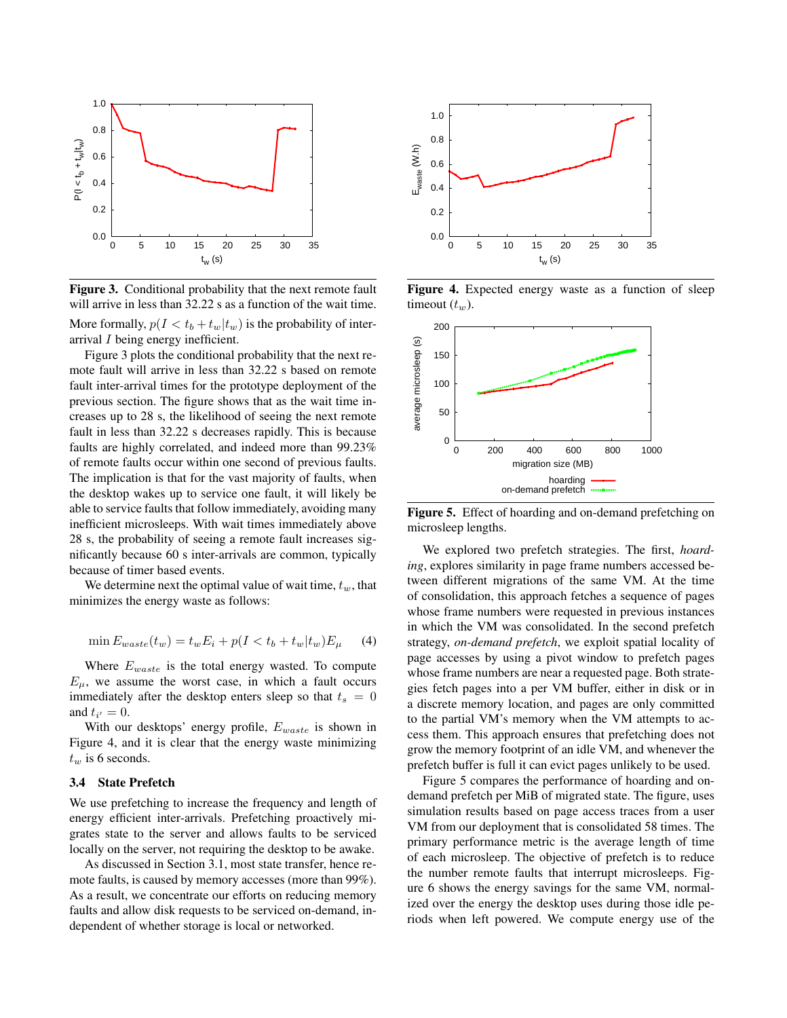

Figure 3. Conditional probability that the next remote fault will arrive in less than 32.22 s as a function of the wait time. More formally,  $p(I \lt t_b + t_w | t_w)$  is the probability of interarrival I being energy inefficient.

Figure 3 plots the conditional probability that the next remote fault will arrive in less than 32.22 s based on remote fault inter-arrival times for the prototype deployment of the previous section. The figure shows that as the wait time increases up to 28 s, the likelihood of seeing the next remote fault in less than 32.22 s decreases rapidly. This is because faults are highly correlated, and indeed more than 99.23% of remote faults occur within one second of previous faults. The implication is that for the vast majority of faults, when the desktop wakes up to service one fault, it will likely be able to service faults that follow immediately, avoiding many inefficient microsleeps. With wait times immediately above 28 s, the probability of seeing a remote fault increases significantly because 60 s inter-arrivals are common, typically because of timer based events.

We determine next the optimal value of wait time,  $t_w$ , that minimizes the energy waste as follows:

$$
\min E_{waste}(t_w) = t_w E_i + p(I < t_b + t_w | t_w) E_\mu \tag{4}
$$

Where  $E_{waste}$  is the total energy wasted. To compute  $E_{\mu}$ , we assume the worst case, in which a fault occurs immediately after the desktop enters sleep so that  $t_s = 0$ and  $t_{i'} = 0$ .

With our desktops' energy profile,  $E_{waste}$  is shown in Figure 4, and it is clear that the energy waste minimizing  $t_w$  is 6 seconds.

### 3.4 State Prefetch

We use prefetching to increase the frequency and length of energy efficient inter-arrivals. Prefetching proactively migrates state to the server and allows faults to be serviced locally on the server, not requiring the desktop to be awake.

As discussed in Section 3.1, most state transfer, hence remote faults, is caused by memory accesses (more than 99%). As a result, we concentrate our efforts on reducing memory faults and allow disk requests to be serviced on-demand, independent of whether storage is local or networked.



Figure 4. Expected energy waste as a function of sleep timeout  $(t_w)$ .



Figure 5. Effect of hoarding and on-demand prefetching on microsleep lengths.

We explored two prefetch strategies. The first, *hoarding*, explores similarity in page frame numbers accessed between different migrations of the same VM. At the time of consolidation, this approach fetches a sequence of pages whose frame numbers were requested in previous instances in which the VM was consolidated. In the second prefetch strategy, *on-demand prefetch*, we exploit spatial locality of page accesses by using a pivot window to prefetch pages whose frame numbers are near a requested page. Both strategies fetch pages into a per VM buffer, either in disk or in a discrete memory location, and pages are only committed to the partial VM's memory when the VM attempts to access them. This approach ensures that prefetching does not grow the memory footprint of an idle VM, and whenever the prefetch buffer is full it can evict pages unlikely to be used.

Figure 5 compares the performance of hoarding and ondemand prefetch per MiB of migrated state. The figure, uses simulation results based on page access traces from a user VM from our deployment that is consolidated 58 times. The primary performance metric is the average length of time of each microsleep. The objective of prefetch is to reduce the number remote faults that interrupt microsleeps. Figure 6 shows the energy savings for the same VM, normalized over the energy the desktop uses during those idle periods when left powered. We compute energy use of the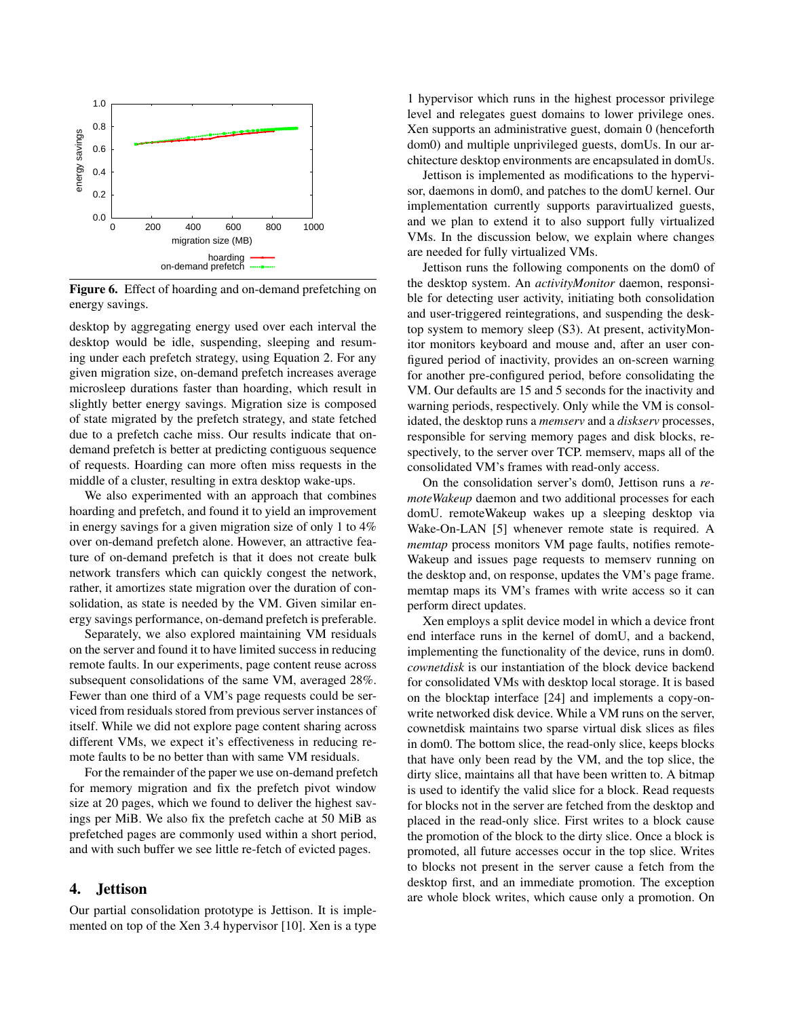

Figure 6. Effect of hoarding and on-demand prefetching on energy savings.

desktop by aggregating energy used over each interval the desktop would be idle, suspending, sleeping and resuming under each prefetch strategy, using Equation 2. For any given migration size, on-demand prefetch increases average microsleep durations faster than hoarding, which result in slightly better energy savings. Migration size is composed of state migrated by the prefetch strategy, and state fetched due to a prefetch cache miss. Our results indicate that ondemand prefetch is better at predicting contiguous sequence of requests. Hoarding can more often miss requests in the middle of a cluster, resulting in extra desktop wake-ups.

We also experimented with an approach that combines hoarding and prefetch, and found it to yield an improvement in energy savings for a given migration size of only 1 to 4% over on-demand prefetch alone. However, an attractive feature of on-demand prefetch is that it does not create bulk network transfers which can quickly congest the network, rather, it amortizes state migration over the duration of consolidation, as state is needed by the VM. Given similar energy savings performance, on-demand prefetch is preferable.

Separately, we also explored maintaining VM residuals on the server and found it to have limited success in reducing remote faults. In our experiments, page content reuse across subsequent consolidations of the same VM, averaged 28%. Fewer than one third of a VM's page requests could be serviced from residuals stored from previous server instances of itself. While we did not explore page content sharing across different VMs, we expect it's effectiveness in reducing remote faults to be no better than with same VM residuals.

For the remainder of the paper we use on-demand prefetch for memory migration and fix the prefetch pivot window size at 20 pages, which we found to deliver the highest savings per MiB. We also fix the prefetch cache at 50 MiB as prefetched pages are commonly used within a short period, and with such buffer we see little re-fetch of evicted pages.

## 4. Jettison

Our partial consolidation prototype is Jettison. It is implemented on top of the Xen 3.4 hypervisor [10]. Xen is a type

1 hypervisor which runs in the highest processor privilege level and relegates guest domains to lower privilege ones. Xen supports an administrative guest, domain 0 (henceforth dom0) and multiple unprivileged guests, domUs. In our architecture desktop environments are encapsulated in domUs.

Jettison is implemented as modifications to the hypervisor, daemons in dom0, and patches to the domU kernel. Our implementation currently supports paravirtualized guests, and we plan to extend it to also support fully virtualized VMs. In the discussion below, we explain where changes are needed for fully virtualized VMs.

Jettison runs the following components on the dom0 of the desktop system. An *activityMonitor* daemon, responsible for detecting user activity, initiating both consolidation and user-triggered reintegrations, and suspending the desktop system to memory sleep (S3). At present, activityMonitor monitors keyboard and mouse and, after an user configured period of inactivity, provides an on-screen warning for another pre-configured period, before consolidating the VM. Our defaults are 15 and 5 seconds for the inactivity and warning periods, respectively. Only while the VM is consolidated, the desktop runs a *memserv* and a *diskserv* processes, responsible for serving memory pages and disk blocks, respectively, to the server over TCP. memserv, maps all of the consolidated VM's frames with read-only access.

On the consolidation server's dom0, Jettison runs a *remoteWakeup* daemon and two additional processes for each domU. remoteWakeup wakes up a sleeping desktop via Wake-On-LAN [5] whenever remote state is required. A *memtap* process monitors VM page faults, notifies remote-Wakeup and issues page requests to memserv running on the desktop and, on response, updates the VM's page frame. memtap maps its VM's frames with write access so it can perform direct updates.

Xen employs a split device model in which a device front end interface runs in the kernel of domU, and a backend, implementing the functionality of the device, runs in dom0. *cownetdisk* is our instantiation of the block device backend for consolidated VMs with desktop local storage. It is based on the blocktap interface [24] and implements a copy-onwrite networked disk device. While a VM runs on the server, cownetdisk maintains two sparse virtual disk slices as files in dom0. The bottom slice, the read-only slice, keeps blocks that have only been read by the VM, and the top slice, the dirty slice, maintains all that have been written to. A bitmap is used to identify the valid slice for a block. Read requests for blocks not in the server are fetched from the desktop and placed in the read-only slice. First writes to a block cause the promotion of the block to the dirty slice. Once a block is promoted, all future accesses occur in the top slice. Writes to blocks not present in the server cause a fetch from the desktop first, and an immediate promotion. The exception are whole block writes, which cause only a promotion. On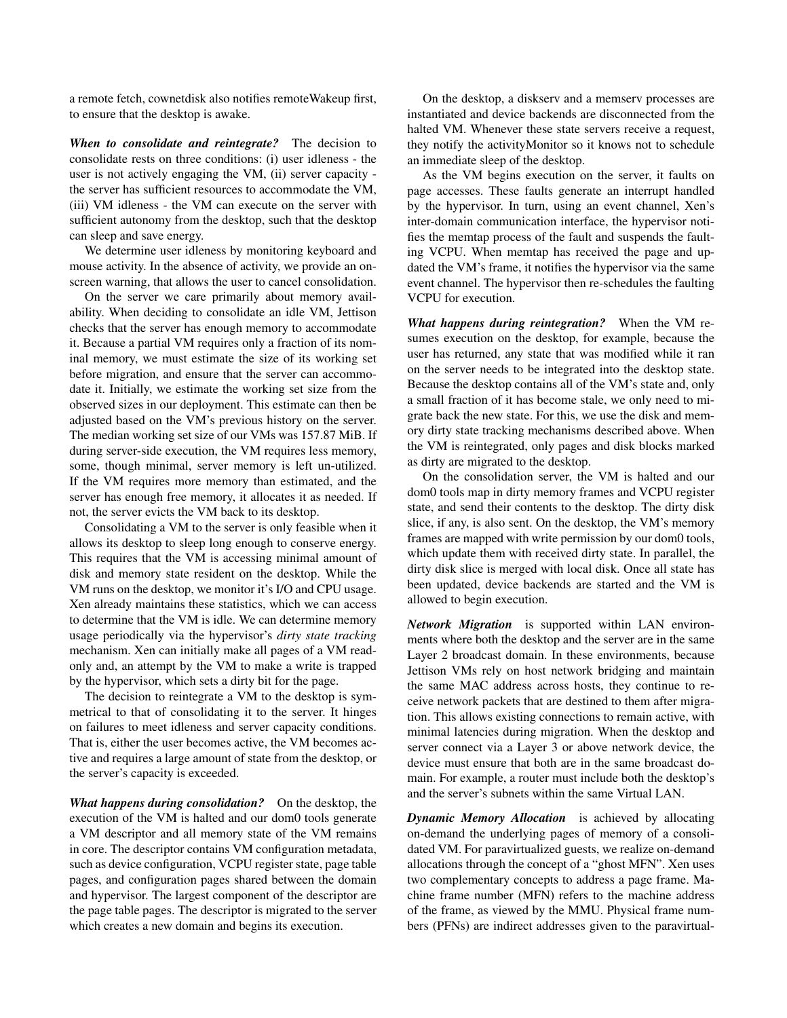a remote fetch, cownetdisk also notifies remoteWakeup first, to ensure that the desktop is awake.

*When to consolidate and reintegrate?* The decision to consolidate rests on three conditions: (i) user idleness - the user is not actively engaging the VM, (ii) server capacity the server has sufficient resources to accommodate the VM, (iii) VM idleness - the VM can execute on the server with sufficient autonomy from the desktop, such that the desktop can sleep and save energy.

We determine user idleness by monitoring keyboard and mouse activity. In the absence of activity, we provide an onscreen warning, that allows the user to cancel consolidation.

On the server we care primarily about memory availability. When deciding to consolidate an idle VM, Jettison checks that the server has enough memory to accommodate it. Because a partial VM requires only a fraction of its nominal memory, we must estimate the size of its working set before migration, and ensure that the server can accommodate it. Initially, we estimate the working set size from the observed sizes in our deployment. This estimate can then be adjusted based on the VM's previous history on the server. The median working set size of our VMs was 157.87 MiB. If during server-side execution, the VM requires less memory, some, though minimal, server memory is left un-utilized. If the VM requires more memory than estimated, and the server has enough free memory, it allocates it as needed. If not, the server evicts the VM back to its desktop.

Consolidating a VM to the server is only feasible when it allows its desktop to sleep long enough to conserve energy. This requires that the VM is accessing minimal amount of disk and memory state resident on the desktop. While the VM runs on the desktop, we monitor it's I/O and CPU usage. Xen already maintains these statistics, which we can access to determine that the VM is idle. We can determine memory usage periodically via the hypervisor's *dirty state tracking* mechanism. Xen can initially make all pages of a VM readonly and, an attempt by the VM to make a write is trapped by the hypervisor, which sets a dirty bit for the page.

The decision to reintegrate a VM to the desktop is symmetrical to that of consolidating it to the server. It hinges on failures to meet idleness and server capacity conditions. That is, either the user becomes active, the VM becomes active and requires a large amount of state from the desktop, or the server's capacity is exceeded.

*What happens during consolidation?* On the desktop, the execution of the VM is halted and our dom0 tools generate a VM descriptor and all memory state of the VM remains in core. The descriptor contains VM configuration metadata, such as device configuration, VCPU register state, page table pages, and configuration pages shared between the domain and hypervisor. The largest component of the descriptor are the page table pages. The descriptor is migrated to the server which creates a new domain and begins its execution.

On the desktop, a diskserv and a memserv processes are instantiated and device backends are disconnected from the halted VM. Whenever these state servers receive a request, they notify the activityMonitor so it knows not to schedule an immediate sleep of the desktop.

As the VM begins execution on the server, it faults on page accesses. These faults generate an interrupt handled by the hypervisor. In turn, using an event channel, Xen's inter-domain communication interface, the hypervisor notifies the memtap process of the fault and suspends the faulting VCPU. When memtap has received the page and updated the VM's frame, it notifies the hypervisor via the same event channel. The hypervisor then re-schedules the faulting VCPU for execution.

*What happens during reintegration?* When the VM resumes execution on the desktop, for example, because the user has returned, any state that was modified while it ran on the server needs to be integrated into the desktop state. Because the desktop contains all of the VM's state and, only a small fraction of it has become stale, we only need to migrate back the new state. For this, we use the disk and memory dirty state tracking mechanisms described above. When the VM is reintegrated, only pages and disk blocks marked as dirty are migrated to the desktop.

On the consolidation server, the VM is halted and our dom0 tools map in dirty memory frames and VCPU register state, and send their contents to the desktop. The dirty disk slice, if any, is also sent. On the desktop, the VM's memory frames are mapped with write permission by our dom0 tools, which update them with received dirty state. In parallel, the dirty disk slice is merged with local disk. Once all state has been updated, device backends are started and the VM is allowed to begin execution.

*Network Migration* is supported within LAN environments where both the desktop and the server are in the same Layer 2 broadcast domain. In these environments, because Jettison VMs rely on host network bridging and maintain the same MAC address across hosts, they continue to receive network packets that are destined to them after migration. This allows existing connections to remain active, with minimal latencies during migration. When the desktop and server connect via a Layer 3 or above network device, the device must ensure that both are in the same broadcast domain. For example, a router must include both the desktop's and the server's subnets within the same Virtual LAN.

*Dynamic Memory Allocation* is achieved by allocating on-demand the underlying pages of memory of a consolidated VM. For paravirtualized guests, we realize on-demand allocations through the concept of a "ghost MFN". Xen uses two complementary concepts to address a page frame. Machine frame number (MFN) refers to the machine address of the frame, as viewed by the MMU. Physical frame numbers (PFNs) are indirect addresses given to the paravirtual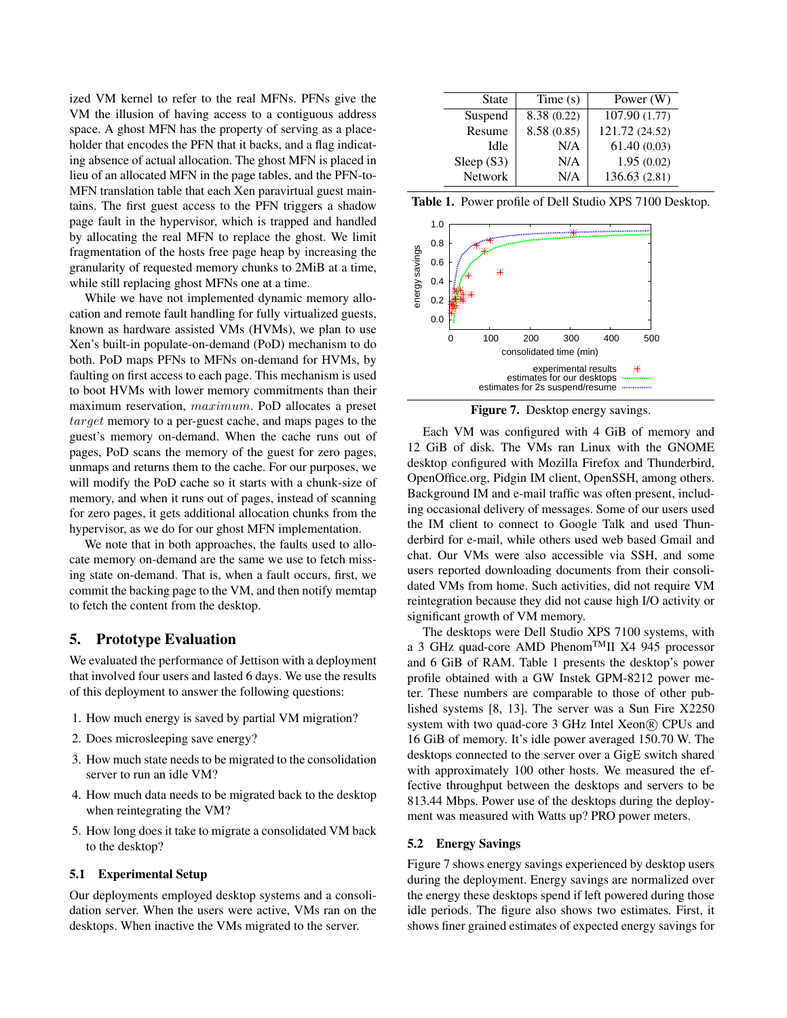ized VM kernel to refer to the real MFNs. PFNs give the VM the illusion of having access to a contiguous address space. A ghost MFN has the property of serving as a placeholder that encodes the PFN that it backs, and a flag indicating absence of actual allocation. The ghost MFN is placed in lieu of an allocated MFN in the page tables, and the PFN-to-MFN translation table that each Xen paravirtual guest maintains. The first guest access to the PFN triggers a shadow page fault in the hypervisor, which is trapped and handled by allocating the real MFN to replace the ghost. We limit fragmentation of the hosts free page heap by increasing the granularity of requested memory chunks to 2MiB at a time, while still replacing ghost MFNs one at a time.

While we have not implemented dynamic memory allocation and remote fault handling for fully virtualized guests, known as hardware assisted VMs (HVMs), we plan to use Xen's built-in populate-on-demand (PoD) mechanism to do both. PoD maps PFNs to MFNs on-demand for HVMs, by faulting on first access to each page. This mechanism is used to boot HVMs with lower memory commitments than their maximum reservation, maximum. PoD allocates a preset target memory to a per-guest cache, and maps pages to the guest's memory on-demand. When the cache runs out of pages, PoD scans the memory of the guest for zero pages, unmaps and returns them to the cache. For our purposes, we will modify the PoD cache so it starts with a chunk-size of memory, and when it runs out of pages, instead of scanning for zero pages, it gets additional allocation chunks from the hypervisor, as we do for our ghost MFN implementation.

We note that in both approaches, the faults used to allocate memory on-demand are the same we use to fetch missing state on-demand. That is, when a fault occurs, first, we commit the backing page to the VM, and then notify memtap to fetch the content from the desktop.

### 5. Prototype Evaluation

We evaluated the performance of Jettison with a deployment that involved four users and lasted 6 days. We use the results of this deployment to answer the following questions:

- 1. How much energy is saved by partial VM migration?
- 2. Does microsleeping save energy?
- 3. How much state needs to be migrated to the consolidation server to run an idle VM?
- 4. How much data needs to be migrated back to the desktop when reintegrating the VM?
- 5. How long does it take to migrate a consolidated VM back to the desktop?

### 5.1 Experimental Setup

Our deployments employed desktop systems and a consolidation server. When the users were active, VMs ran on the desktops. When inactive the VMs migrated to the server.

| <b>State</b>   | Time(s)     | Power $(W)$    |
|----------------|-------------|----------------|
| Suspend        | 8.38 (0.22) | 107.90(1.77)   |
| Resume         | 8.58(0.85)  | 121.72 (24.52) |
| Idle           | N/A         | 61.40(0.03)    |
| Sleep $(S3)$   | N/A         | 1.95(0.02)     |
| <b>Network</b> | N/A         | 136.63(2.81)   |

Table 1. Power profile of Dell Studio XPS 7100 Desktop.



Figure 7. Desktop energy savings.

Each VM was configured with 4 GiB of memory and 12 GiB of disk. The VMs ran Linux with the GNOME desktop configured with Mozilla Firefox and Thunderbird, OpenOffice.org, Pidgin IM client, OpenSSH, among others. Background IM and e-mail traffic was often present, including occasional delivery of messages. Some of our users used the IM client to connect to Google Talk and used Thunderbird for e-mail, while others used web based Gmail and chat. Our VMs were also accessible via SSH, and some users reported downloading documents from their consolidated VMs from home. Such activities, did not require VM reintegration because they did not cause high I/O activity or significant growth of VM memory.

The desktops were Dell Studio XPS 7100 systems, with a 3 GHz quad-core AMD Phenom<sup>TM</sup>II X4 945 processor and 6 GiB of RAM. Table 1 presents the desktop's power profile obtained with a GW Instek GPM-8212 power meter. These numbers are comparable to those of other published systems [8, 13]. The server was a Sun Fire X2250 system with two quad-core 3 GHz Intel Xeon(R) CPUs and 16 GiB of memory. It's idle power averaged 150.70 W. The desktops connected to the server over a GigE switch shared with approximately 100 other hosts. We measured the effective throughput between the desktops and servers to be 813.44 Mbps. Power use of the desktops during the deployment was measured with Watts up? PRO power meters.

#### 5.2 Energy Savings

Figure 7 shows energy savings experienced by desktop users during the deployment. Energy savings are normalized over the energy these desktops spend if left powered during those idle periods. The figure also shows two estimates. First, it shows finer grained estimates of expected energy savings for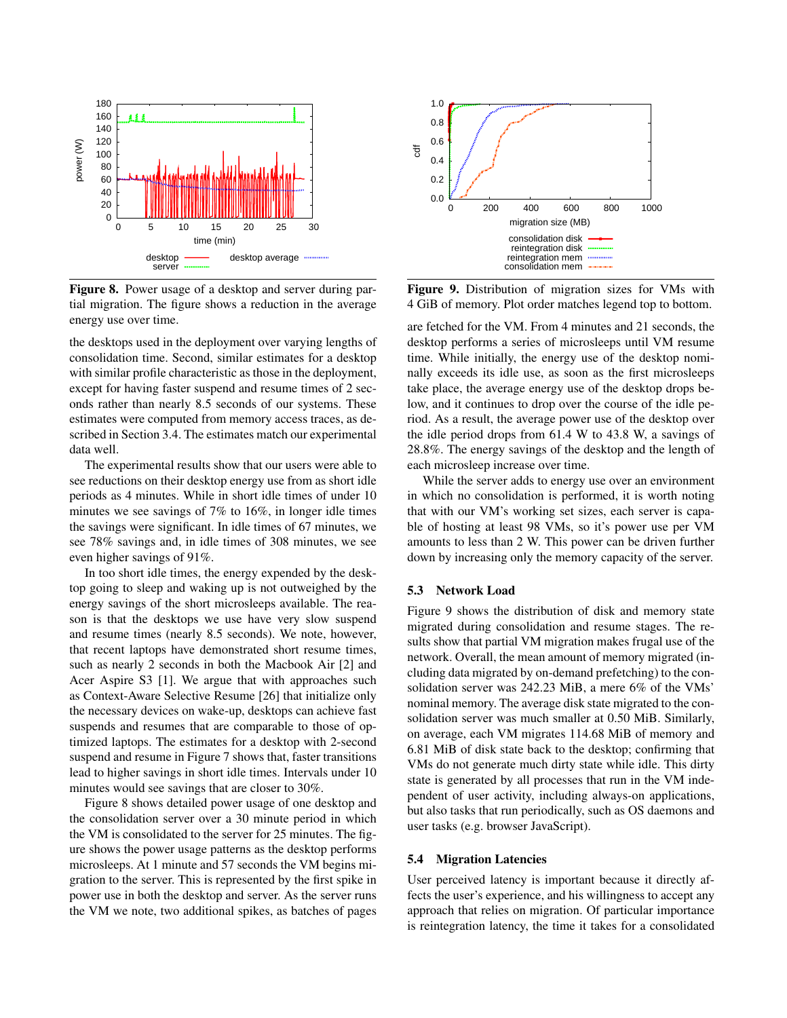

Figure 8. Power usage of a desktop and server during partial migration. The figure shows a reduction in the average energy use over time.

the desktops used in the deployment over varying lengths of consolidation time. Second, similar estimates for a desktop with similar profile characteristic as those in the deployment, except for having faster suspend and resume times of 2 seconds rather than nearly 8.5 seconds of our systems. These estimates were computed from memory access traces, as described in Section 3.4. The estimates match our experimental data well.

The experimental results show that our users were able to see reductions on their desktop energy use from as short idle periods as 4 minutes. While in short idle times of under 10 minutes we see savings of 7% to 16%, in longer idle times the savings were significant. In idle times of 67 minutes, we see 78% savings and, in idle times of 308 minutes, we see even higher savings of 91%.

In too short idle times, the energy expended by the desktop going to sleep and waking up is not outweighed by the energy savings of the short microsleeps available. The reason is that the desktops we use have very slow suspend and resume times (nearly 8.5 seconds). We note, however, that recent laptops have demonstrated short resume times, such as nearly 2 seconds in both the Macbook Air [2] and Acer Aspire S3 [1]. We argue that with approaches such as Context-Aware Selective Resume [26] that initialize only the necessary devices on wake-up, desktops can achieve fast suspends and resumes that are comparable to those of optimized laptops. The estimates for a desktop with 2-second suspend and resume in Figure 7 shows that, faster transitions lead to higher savings in short idle times. Intervals under 10 minutes would see savings that are closer to 30%.

Figure 8 shows detailed power usage of one desktop and the consolidation server over a 30 minute period in which the VM is consolidated to the server for 25 minutes. The figure shows the power usage patterns as the desktop performs microsleeps. At 1 minute and 57 seconds the VM begins migration to the server. This is represented by the first spike in power use in both the desktop and server. As the server runs the VM we note, two additional spikes, as batches of pages



Figure 9. Distribution of migration sizes for VMs with 4 GiB of memory. Plot order matches legend top to bottom.

are fetched for the VM. From 4 minutes and 21 seconds, the desktop performs a series of microsleeps until VM resume time. While initially, the energy use of the desktop nominally exceeds its idle use, as soon as the first microsleeps take place, the average energy use of the desktop drops below, and it continues to drop over the course of the idle period. As a result, the average power use of the desktop over the idle period drops from 61.4 W to 43.8 W, a savings of 28.8%. The energy savings of the desktop and the length of each microsleep increase over time.

While the server adds to energy use over an environment in which no consolidation is performed, it is worth noting that with our VM's working set sizes, each server is capable of hosting at least 98 VMs, so it's power use per VM amounts to less than 2 W. This power can be driven further down by increasing only the memory capacity of the server.

### 5.3 Network Load

Figure 9 shows the distribution of disk and memory state migrated during consolidation and resume stages. The results show that partial VM migration makes frugal use of the network. Overall, the mean amount of memory migrated (including data migrated by on-demand prefetching) to the consolidation server was 242.23 MiB, a mere 6% of the VMs' nominal memory. The average disk state migrated to the consolidation server was much smaller at 0.50 MiB. Similarly, on average, each VM migrates 114.68 MiB of memory and 6.81 MiB of disk state back to the desktop; confirming that VMs do not generate much dirty state while idle. This dirty state is generated by all processes that run in the VM independent of user activity, including always-on applications, but also tasks that run periodically, such as OS daemons and user tasks (e.g. browser JavaScript).

#### 5.4 Migration Latencies

User perceived latency is important because it directly affects the user's experience, and his willingness to accept any approach that relies on migration. Of particular importance is reintegration latency, the time it takes for a consolidated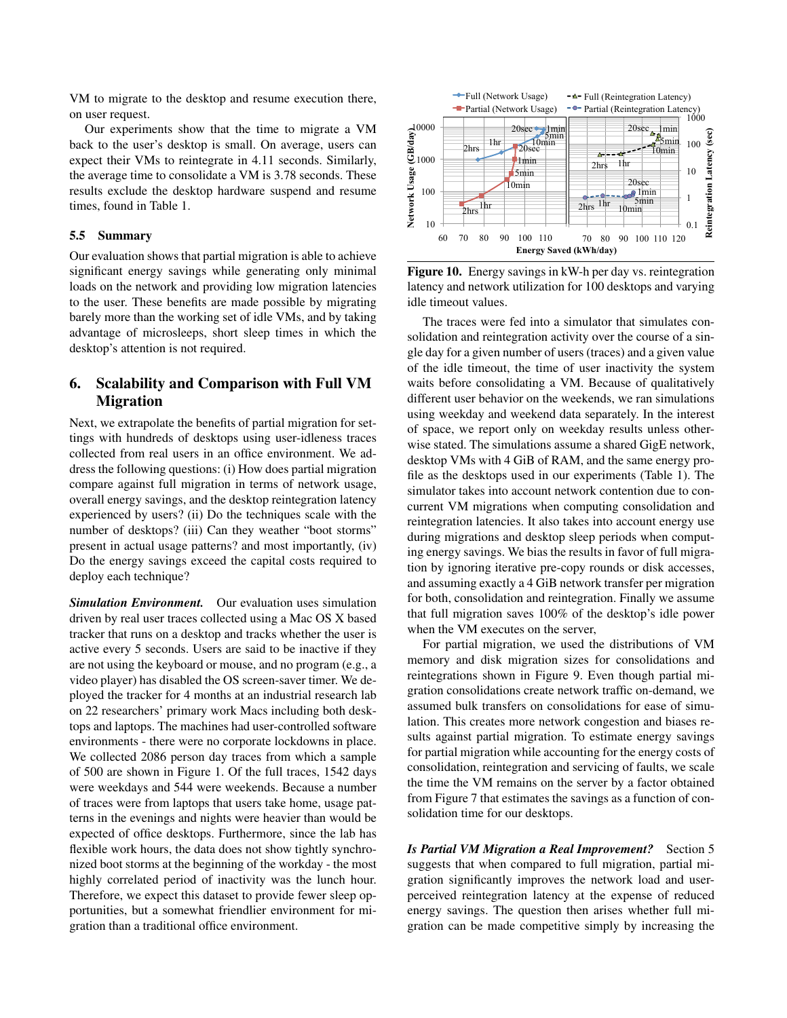VM to migrate to the desktop and resume execution there, on user request.

Our experiments show that the time to migrate a VM back to the user's desktop is small. On average, users can expect their VMs to reintegrate in 4.11 seconds. Similarly, the average time to consolidate a VM is 3.78 seconds. These results exclude the desktop hardware suspend and resume times, found in Table 1.

#### 5.5 Summary

Our evaluation shows that partial migration is able to achieve significant energy savings while generating only minimal loads on the network and providing low migration latencies to the user. These benefits are made possible by migrating barely more than the working set of idle VMs, and by taking advantage of microsleeps, short sleep times in which the desktop's attention is not required.

# 6. Scalability and Comparison with Full VM Migration

Next, we extrapolate the benefits of partial migration for settings with hundreds of desktops using user-idleness traces collected from real users in an office environment. We address the following questions: (i) How does partial migration compare against full migration in terms of network usage, overall energy savings, and the desktop reintegration latency experienced by users? (ii) Do the techniques scale with the number of desktops? (iii) Can they weather "boot storms" present in actual usage patterns? and most importantly, (iv) Do the energy savings exceed the capital costs required to deploy each technique?

*Simulation Environment.* Our evaluation uses simulation driven by real user traces collected using a Mac OS X based tracker that runs on a desktop and tracks whether the user is active every 5 seconds. Users are said to be inactive if they are not using the keyboard or mouse, and no program (e.g., a video player) has disabled the OS screen-saver timer. We deployed the tracker for 4 months at an industrial research lab on 22 researchers' primary work Macs including both desktops and laptops. The machines had user-controlled software environments - there were no corporate lockdowns in place. We collected 2086 person day traces from which a sample of 500 are shown in Figure 1. Of the full traces, 1542 days were weekdays and 544 were weekends. Because a number of traces were from laptops that users take home, usage patterns in the evenings and nights were heavier than would be expected of office desktops. Furthermore, since the lab has flexible work hours, the data does not show tightly synchronized boot storms at the beginning of the workday - the most highly correlated period of inactivity was the lunch hour. Therefore, we expect this dataset to provide fewer sleep opportunities, but a somewhat friendlier environment for migration than a traditional office environment.





The traces were fed into a simulator that simulates consolidation and reintegration activity over the course of a single day for a given number of users (traces) and a given value of the idle timeout, the time of user inactivity the system waits before consolidating a VM. Because of qualitatively different user behavior on the weekends, we ran simulations using weekday and weekend data separately. In the interest of space, we report only on weekday results unless otherwise stated. The simulations assume a shared GigE network, desktop VMs with 4 GiB of RAM, and the same energy profile as the desktops used in our experiments (Table 1). The simulator takes into account network contention due to concurrent VM migrations when computing consolidation and reintegration latencies. It also takes into account energy use during migrations and desktop sleep periods when computing energy savings. We bias the results in favor of full migration by ignoring iterative pre-copy rounds or disk accesses, and assuming exactly a 4 GiB network transfer per migration for both, consolidation and reintegration. Finally we assume that full migration saves 100% of the desktop's idle power when the VM executes on the server,

For partial migration, we used the distributions of VM memory and disk migration sizes for consolidations and reintegrations shown in Figure 9. Even though partial migration consolidations create network traffic on-demand, we assumed bulk transfers on consolidations for ease of simulation. This creates more network congestion and biases results against partial migration. To estimate energy savings for partial migration while accounting for the energy costs of consolidation, reintegration and servicing of faults, we scale the time the VM remains on the server by a factor obtained from Figure 7 that estimates the savings as a function of consolidation time for our desktops.

*Is Partial VM Migration a Real Improvement?* Section 5 suggests that when compared to full migration, partial migration significantly improves the network load and userperceived reintegration latency at the expense of reduced energy savings. The question then arises whether full migration can be made competitive simply by increasing the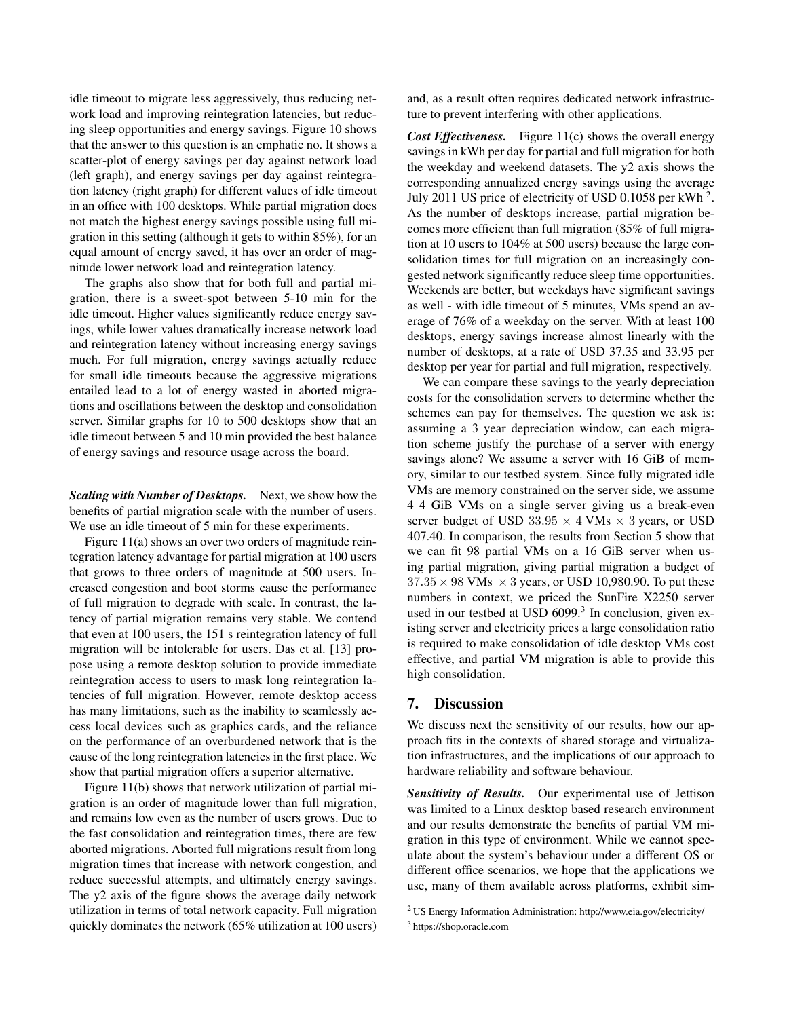idle timeout to migrate less aggressively, thus reducing network load and improving reintegration latencies, but reducing sleep opportunities and energy savings. Figure 10 shows that the answer to this question is an emphatic no. It shows a scatter-plot of energy savings per day against network load (left graph), and energy savings per day against reintegration latency (right graph) for different values of idle timeout in an office with 100 desktops. While partial migration does not match the highest energy savings possible using full migration in this setting (although it gets to within 85%), for an equal amount of energy saved, it has over an order of magnitude lower network load and reintegration latency.

The graphs also show that for both full and partial migration, there is a sweet-spot between 5-10 min for the idle timeout. Higher values significantly reduce energy savings, while lower values dramatically increase network load and reintegration latency without increasing energy savings much. For full migration, energy savings actually reduce for small idle timeouts because the aggressive migrations entailed lead to a lot of energy wasted in aborted migrations and oscillations between the desktop and consolidation server. Similar graphs for 10 to 500 desktops show that an idle timeout between 5 and 10 min provided the best balance of energy savings and resource usage across the board.

*Scaling with Number of Desktops.* Next, we show how the benefits of partial migration scale with the number of users. We use an idle timeout of 5 min for these experiments.

Figure 11(a) shows an over two orders of magnitude reintegration latency advantage for partial migration at 100 users that grows to three orders of magnitude at 500 users. Increased congestion and boot storms cause the performance of full migration to degrade with scale. In contrast, the latency of partial migration remains very stable. We contend that even at 100 users, the 151 s reintegration latency of full migration will be intolerable for users. Das et al. [13] propose using a remote desktop solution to provide immediate reintegration access to users to mask long reintegration latencies of full migration. However, remote desktop access has many limitations, such as the inability to seamlessly access local devices such as graphics cards, and the reliance on the performance of an overburdened network that is the cause of the long reintegration latencies in the first place. We show that partial migration offers a superior alternative.

Figure 11(b) shows that network utilization of partial migration is an order of magnitude lower than full migration, and remains low even as the number of users grows. Due to the fast consolidation and reintegration times, there are few aborted migrations. Aborted full migrations result from long migration times that increase with network congestion, and reduce successful attempts, and ultimately energy savings. The y2 axis of the figure shows the average daily network utilization in terms of total network capacity. Full migration quickly dominates the network (65% utilization at 100 users) and, as a result often requires dedicated network infrastructure to prevent interfering with other applications.

*Cost Effectiveness.* Figure 11(c) shows the overall energy savings in kWh per day for partial and full migration for both the weekday and weekend datasets. The y2 axis shows the corresponding annualized energy savings using the average July 2011 US price of electricity of USD 0.1058 per kWh<sup>2</sup>. As the number of desktops increase, partial migration becomes more efficient than full migration (85% of full migration at 10 users to 104% at 500 users) because the large consolidation times for full migration on an increasingly congested network significantly reduce sleep time opportunities. Weekends are better, but weekdays have significant savings as well - with idle timeout of 5 minutes, VMs spend an average of 76% of a weekday on the server. With at least 100 desktops, energy savings increase almost linearly with the number of desktops, at a rate of USD 37.35 and 33.95 per desktop per year for partial and full migration, respectively.

We can compare these savings to the yearly depreciation costs for the consolidation servers to determine whether the schemes can pay for themselves. The question we ask is: assuming a 3 year depreciation window, can each migration scheme justify the purchase of a server with energy savings alone? We assume a server with 16 GiB of memory, similar to our testbed system. Since fully migrated idle VMs are memory constrained on the server side, we assume 4 4 GiB VMs on a single server giving us a break-even server budget of USD  $33.95 \times 4$  VMs  $\times$  3 years, or USD 407.40. In comparison, the results from Section 5 show that we can fit 98 partial VMs on a 16 GiB server when using partial migration, giving partial migration a budget of  $37.35 \times 98$  VMs  $\times$  3 years, or USD 10,980.90. To put these numbers in context, we priced the SunFire X2250 server used in our testbed at USD 6099.<sup>3</sup> In conclusion, given existing server and electricity prices a large consolidation ratio is required to make consolidation of idle desktop VMs cost effective, and partial VM migration is able to provide this high consolidation.

### 7. Discussion

We discuss next the sensitivity of our results, how our approach fits in the contexts of shared storage and virtualization infrastructures, and the implications of our approach to hardware reliability and software behaviour.

*Sensitivity of Results.* Our experimental use of Jettison was limited to a Linux desktop based research environment and our results demonstrate the benefits of partial VM migration in this type of environment. While we cannot speculate about the system's behaviour under a different OS or different office scenarios, we hope that the applications we use, many of them available across platforms, exhibit sim-

<sup>2</sup> US Energy Information Administration: http://www.eia.gov/electricity/ <sup>3</sup> https://shop.oracle.com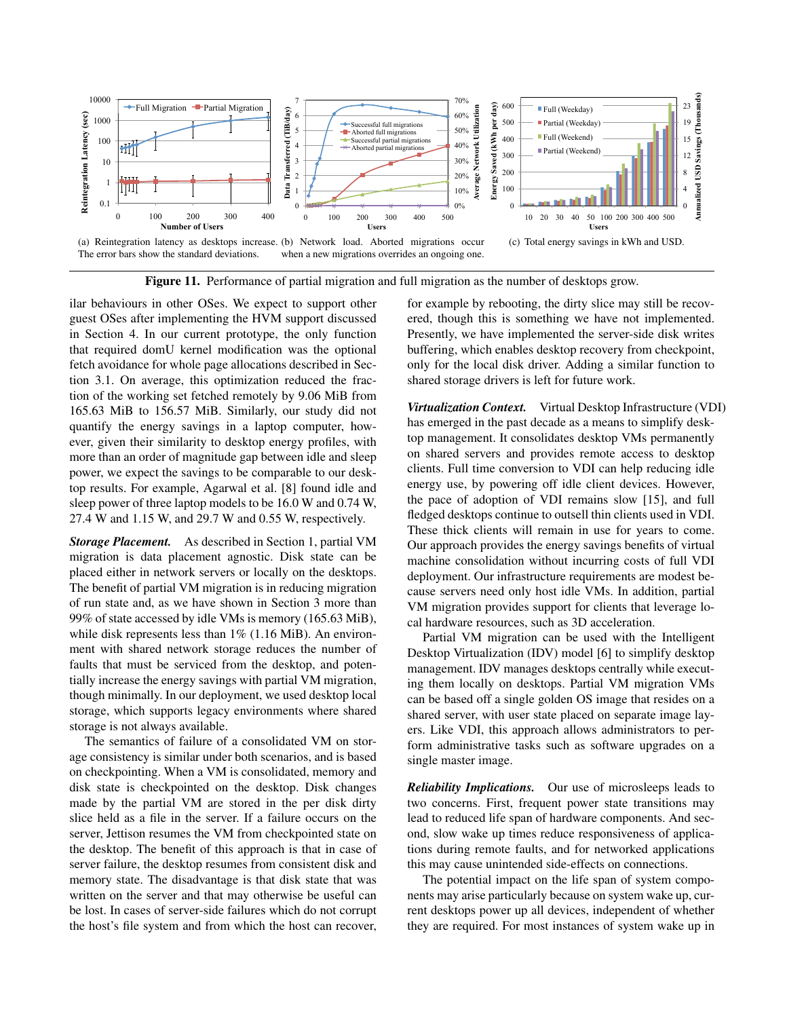

Figure 11. Performance of partial migration and full migration as the number of desktops grow.

ilar behaviours in other OSes. We expect to support other guest OSes after implementing the HVM support discussed in Section 4. In our current prototype, the only function that required domU kernel modification was the optional fetch avoidance for whole page allocations described in Section 3.1. On average, this optimization reduced the fraction of the working set fetched remotely by 9.06 MiB from 165.63 MiB to 156.57 MiB. Similarly, our study did not quantify the energy savings in a laptop computer, however, given their similarity to desktop energy profiles, with more than an order of magnitude gap between idle and sleep power, we expect the savings to be comparable to our desktop results. For example, Agarwal et al. [8] found idle and sleep power of three laptop models to be 16.0 W and 0.74 W, 27.4 W and 1.15 W, and 29.7 W and 0.55 W, respectively.

*Storage Placement.* As described in Section 1, partial VM migration is data placement agnostic. Disk state can be placed either in network servers or locally on the desktops. The benefit of partial VM migration is in reducing migration of run state and, as we have shown in Section 3 more than 99% of state accessed by idle VMs is memory (165.63 MiB), while disk represents less than 1% (1.16 MiB). An environment with shared network storage reduces the number of faults that must be serviced from the desktop, and potentially increase the energy savings with partial VM migration, though minimally. In our deployment, we used desktop local storage, which supports legacy environments where shared storage is not always available.

The semantics of failure of a consolidated VM on storage consistency is similar under both scenarios, and is based on checkpointing. When a VM is consolidated, memory and disk state is checkpointed on the desktop. Disk changes made by the partial VM are stored in the per disk dirty slice held as a file in the server. If a failure occurs on the server, Jettison resumes the VM from checkpointed state on the desktop. The benefit of this approach is that in case of server failure, the desktop resumes from consistent disk and memory state. The disadvantage is that disk state that was written on the server and that may otherwise be useful can be lost. In cases of server-side failures which do not corrupt the host's file system and from which the host can recover,

for example by rebooting, the dirty slice may still be recovered, though this is something we have not implemented. Presently, we have implemented the server-side disk writes buffering, which enables desktop recovery from checkpoint, only for the local disk driver. Adding a similar function to shared storage drivers is left for future work.

*Virtualization Context.* Virtual Desktop Infrastructure (VDI) has emerged in the past decade as a means to simplify desktop management. It consolidates desktop VMs permanently on shared servers and provides remote access to desktop clients. Full time conversion to VDI can help reducing idle energy use, by powering off idle client devices. However, the pace of adoption of VDI remains slow [15], and full fledged desktops continue to outsell thin clients used in VDI. These thick clients will remain in use for years to come. Our approach provides the energy savings benefits of virtual machine consolidation without incurring costs of full VDI deployment. Our infrastructure requirements are modest because servers need only host idle VMs. In addition, partial VM migration provides support for clients that leverage local hardware resources, such as 3D acceleration.

Partial VM migration can be used with the Intelligent Desktop Virtualization (IDV) model [6] to simplify desktop management. IDV manages desktops centrally while executing them locally on desktops. Partial VM migration VMs can be based off a single golden OS image that resides on a shared server, with user state placed on separate image layers. Like VDI, this approach allows administrators to perform administrative tasks such as software upgrades on a single master image.

*Reliability Implications.* Our use of microsleeps leads to two concerns. First, frequent power state transitions may lead to reduced life span of hardware components. And second, slow wake up times reduce responsiveness of applications during remote faults, and for networked applications this may cause unintended side-effects on connections.

The potential impact on the life span of system components may arise particularly because on system wake up, current desktops power up all devices, independent of whether they are required. For most instances of system wake up in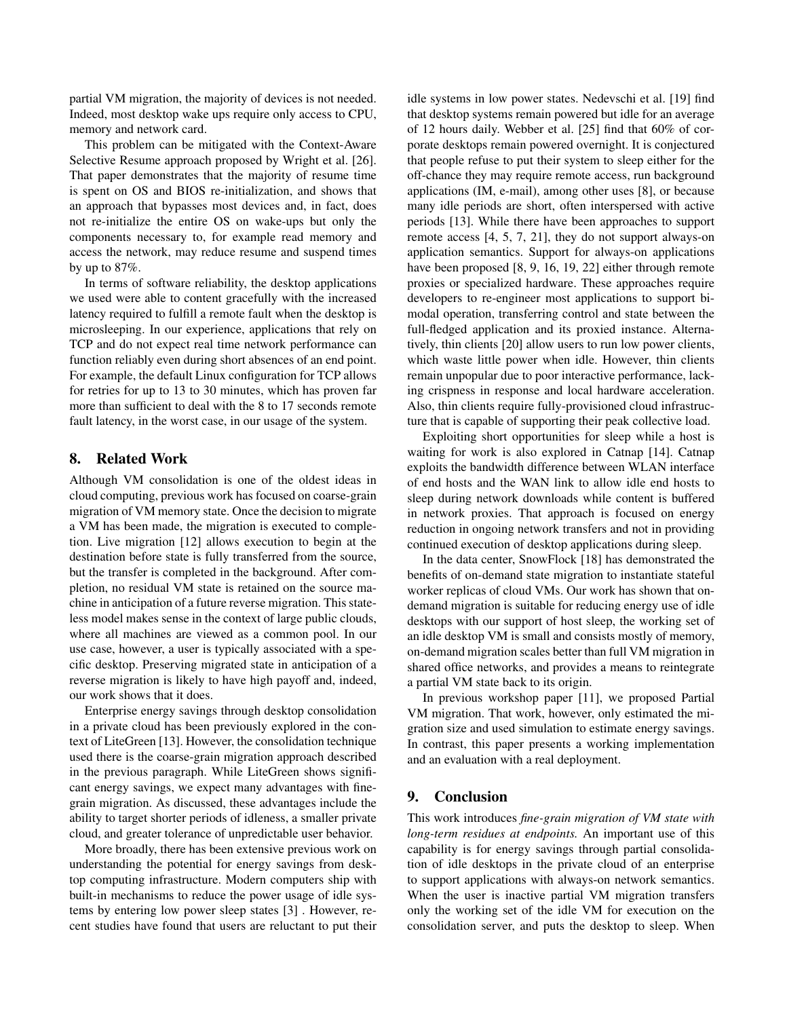partial VM migration, the majority of devices is not needed. Indeed, most desktop wake ups require only access to CPU, memory and network card.

This problem can be mitigated with the Context-Aware Selective Resume approach proposed by Wright et al. [26]. That paper demonstrates that the majority of resume time is spent on OS and BIOS re-initialization, and shows that an approach that bypasses most devices and, in fact, does not re-initialize the entire OS on wake-ups but only the components necessary to, for example read memory and access the network, may reduce resume and suspend times by up to 87%.

In terms of software reliability, the desktop applications we used were able to content gracefully with the increased latency required to fulfill a remote fault when the desktop is microsleeping. In our experience, applications that rely on TCP and do not expect real time network performance can function reliably even during short absences of an end point. For example, the default Linux configuration for TCP allows for retries for up to 13 to 30 minutes, which has proven far more than sufficient to deal with the 8 to 17 seconds remote fault latency, in the worst case, in our usage of the system.

## 8. Related Work

Although VM consolidation is one of the oldest ideas in cloud computing, previous work has focused on coarse-grain migration of VM memory state. Once the decision to migrate a VM has been made, the migration is executed to completion. Live migration [12] allows execution to begin at the destination before state is fully transferred from the source, but the transfer is completed in the background. After completion, no residual VM state is retained on the source machine in anticipation of a future reverse migration. This stateless model makes sense in the context of large public clouds, where all machines are viewed as a common pool. In our use case, however, a user is typically associated with a specific desktop. Preserving migrated state in anticipation of a reverse migration is likely to have high payoff and, indeed, our work shows that it does.

Enterprise energy savings through desktop consolidation in a private cloud has been previously explored in the context of LiteGreen [13]. However, the consolidation technique used there is the coarse-grain migration approach described in the previous paragraph. While LiteGreen shows significant energy savings, we expect many advantages with finegrain migration. As discussed, these advantages include the ability to target shorter periods of idleness, a smaller private cloud, and greater tolerance of unpredictable user behavior.

More broadly, there has been extensive previous work on understanding the potential for energy savings from desktop computing infrastructure. Modern computers ship with built-in mechanisms to reduce the power usage of idle systems by entering low power sleep states [3] . However, recent studies have found that users are reluctant to put their idle systems in low power states. Nedevschi et al. [19] find that desktop systems remain powered but idle for an average of 12 hours daily. Webber et al. [25] find that 60% of corporate desktops remain powered overnight. It is conjectured that people refuse to put their system to sleep either for the off-chance they may require remote access, run background applications (IM, e-mail), among other uses [8], or because many idle periods are short, often interspersed with active periods [13]. While there have been approaches to support remote access [4, 5, 7, 21], they do not support always-on application semantics. Support for always-on applications have been proposed [8, 9, 16, 19, 22] either through remote proxies or specialized hardware. These approaches require developers to re-engineer most applications to support bimodal operation, transferring control and state between the full-fledged application and its proxied instance. Alternatively, thin clients [20] allow users to run low power clients, which waste little power when idle. However, thin clients remain unpopular due to poor interactive performance, lacking crispness in response and local hardware acceleration. Also, thin clients require fully-provisioned cloud infrastructure that is capable of supporting their peak collective load.

Exploiting short opportunities for sleep while a host is waiting for work is also explored in Catnap [14]. Catnap exploits the bandwidth difference between WLAN interface of end hosts and the WAN link to allow idle end hosts to sleep during network downloads while content is buffered in network proxies. That approach is focused on energy reduction in ongoing network transfers and not in providing continued execution of desktop applications during sleep.

In the data center, SnowFlock [18] has demonstrated the benefits of on-demand state migration to instantiate stateful worker replicas of cloud VMs. Our work has shown that ondemand migration is suitable for reducing energy use of idle desktops with our support of host sleep, the working set of an idle desktop VM is small and consists mostly of memory, on-demand migration scales better than full VM migration in shared office networks, and provides a means to reintegrate a partial VM state back to its origin.

In previous workshop paper [11], we proposed Partial VM migration. That work, however, only estimated the migration size and used simulation to estimate energy savings. In contrast, this paper presents a working implementation and an evaluation with a real deployment.

### 9. Conclusion

This work introduces *fine-grain migration of VM state with long-term residues at endpoints.* An important use of this capability is for energy savings through partial consolidation of idle desktops in the private cloud of an enterprise to support applications with always-on network semantics. When the user is inactive partial VM migration transfers only the working set of the idle VM for execution on the consolidation server, and puts the desktop to sleep. When